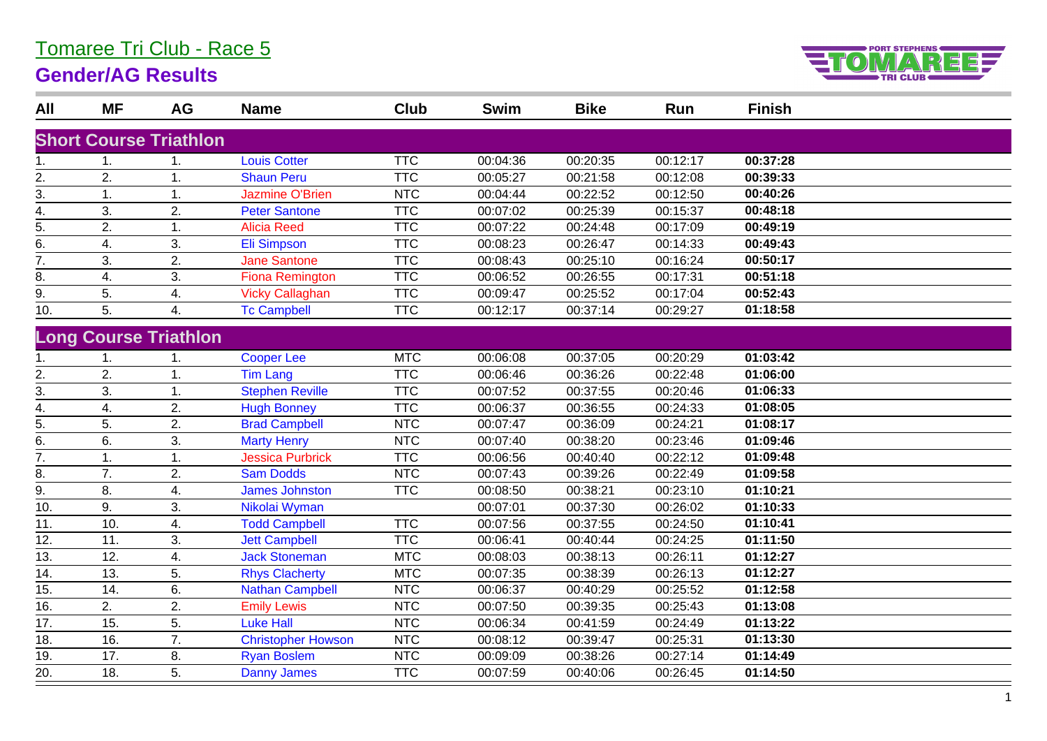## Tomaree Tri Club - Race 5

## **Gender/AG Results**



| All               | <b>MF</b> | AG                            | <b>Name</b>               | Club       | <b>Swim</b> | <b>Bike</b> | Run      | <b>Finish</b> |  |
|-------------------|-----------|-------------------------------|---------------------------|------------|-------------|-------------|----------|---------------|--|
|                   |           |                               |                           |            |             |             |          |               |  |
|                   |           | <b>Short Course Triathlon</b> |                           |            |             |             |          |               |  |
| 1.                |           | 1.                            | <b>Louis Cotter</b>       | <b>TTC</b> | 00:04:36    | 00:20:35    | 00:12:17 | 00:37:28      |  |
| 2.                | 2.        | 1.                            | <b>Shaun Peru</b>         | <b>TTC</b> | 00:05:27    | 00:21:58    | 00:12:08 | 00:39:33      |  |
| 3.                | 1.        | 1.                            | <b>Jazmine O'Brien</b>    | <b>NTC</b> | 00:04:44    | 00:22:52    | 00:12:50 | 00:40:26      |  |
| 4.                | 3.        | 2.                            | <b>Peter Santone</b>      | <b>TTC</b> | 00:07:02    | 00:25:39    | 00:15:37 | 00:48:18      |  |
| 5.                | 2.        | 1.                            | <b>Alicia Reed</b>        | <b>TTC</b> | 00:07:22    | 00:24:48    | 00:17:09 | 00:49:19      |  |
| 6.                | 4.        | 3.                            | <b>Eli Simpson</b>        | <b>TTC</b> | 00:08:23    | 00:26:47    | 00:14:33 | 00:49:43      |  |
| 7.                | 3.        | 2.                            | <b>Jane Santone</b>       | <b>TTC</b> | 00:08:43    | 00:25:10    | 00:16:24 | 00:50:17      |  |
| 8.                | 4.        | 3.                            | <b>Fiona Remington</b>    | <b>TTC</b> | 00:06:52    | 00:26:55    | 00:17:31 | 00:51:18      |  |
| 9.                | 5.        | 4.                            | <b>Vicky Callaghan</b>    | <b>TTC</b> | 00:09:47    | 00:25:52    | 00:17:04 | 00:52:43      |  |
| 10.               | 5.        | 4.                            | <b>Tc Campbell</b>        | <b>TTC</b> | 00:12:17    | 00:37:14    | 00:29:27 | 01:18:58      |  |
|                   |           | <b>Long Course Triathlon</b>  |                           |            |             |             |          |               |  |
|                   |           |                               |                           |            |             |             |          |               |  |
| 1.                |           | 1.                            | <b>Cooper Lee</b>         | <b>MTC</b> | 00:06:08    | 00:37:05    | 00:20:29 | 01:03:42      |  |
| 2.                | 2.        | 1.                            | <b>Tim Lang</b>           | <b>TTC</b> | 00:06:46    | 00:36:26    | 00:22:48 | 01:06:00      |  |
| 3.                | 3.        | 1.                            | <b>Stephen Reville</b>    | <b>TTC</b> | 00:07:52    | 00:37:55    | 00:20:46 | 01:06:33      |  |
| 4.                | 4.        | 2.                            | <b>Hugh Bonney</b>        | <b>TTC</b> | 00:06:37    | 00:36:55    | 00:24:33 | 01:08:05      |  |
| 5.                | 5.        | 2.                            | <b>Brad Campbell</b>      | <b>NTC</b> | 00:07:47    | 00:36:09    | 00:24:21 | 01:08:17      |  |
| 6.                | 6.        | 3.                            | <b>Marty Henry</b>        | <b>NTC</b> | 00:07:40    | 00:38:20    | 00:23:46 | 01:09:46      |  |
| 7.                | 1.        | 1.                            | <b>Jessica Purbrick</b>   | <b>TTC</b> | 00:06:56    | 00:40:40    | 00:22:12 | 01:09:48      |  |
| 8.                | 7.        | $\overline{2}$ .              | <b>Sam Dodds</b>          | <b>NTC</b> | 00:07:43    | 00:39:26    | 00:22:49 | 01:09:58      |  |
| 9.                | 8.        | 4.                            | <b>James Johnston</b>     | <b>TTC</b> | 00:08:50    | 00:38:21    | 00:23:10 | 01:10:21      |  |
| 10.               | 9.        | 3.                            | Nikolai Wyman             |            | 00:07:01    | 00:37:30    | 00:26:02 | 01:10:33      |  |
| 11.               | 10.       | 4.                            | <b>Todd Campbell</b>      | <b>TTC</b> | 00:07:56    | 00:37:55    | 00:24:50 | 01:10:41      |  |
| 12.               | 11.       | 3.                            | <b>Jett Campbell</b>      | <b>TTC</b> | 00:06:41    | 00:40:44    | 00:24:25 | 01:11:50      |  |
| 13.               | 12.       | 4.                            | <b>Jack Stoneman</b>      | <b>MTC</b> | 00:08:03    | 00:38:13    | 00:26:11 | 01:12:27      |  |
| 14.               | 13.       | 5.                            | <b>Rhys Clacherty</b>     | <b>MTC</b> | 00:07:35    | 00:38:39    | 00:26:13 | 01:12:27      |  |
| 15.               | 14.       | 6.                            | <b>Nathan Campbell</b>    | <b>NTC</b> | 00:06:37    | 00:40:29    | 00:25:52 | 01:12:58      |  |
| $\overline{16}$ . | 2.        | 2.                            | <b>Emily Lewis</b>        | <b>NTC</b> | 00:07:50    | 00:39:35    | 00:25:43 | 01:13:08      |  |
| 17.               | 15.       | 5.                            | <b>Luke Hall</b>          | <b>NTC</b> | 00:06:34    | 00:41:59    | 00:24:49 | 01:13:22      |  |
| 18.               | 16.       | 7.                            | <b>Christopher Howson</b> | <b>NTC</b> | 00:08:12    | 00:39:47    | 00:25:31 | 01:13:30      |  |
| 19.               | 17.       | 8.                            | <b>Ryan Boslem</b>        | <b>NTC</b> | 00:09:09    | 00:38:26    | 00:27:14 | 01:14:49      |  |
| $\overline{20}$   | 18.       | 5.                            | <b>Danny James</b>        | <b>TTC</b> | 00:07:59    | 00:40:06    | 00:26:45 | 01:14:50      |  |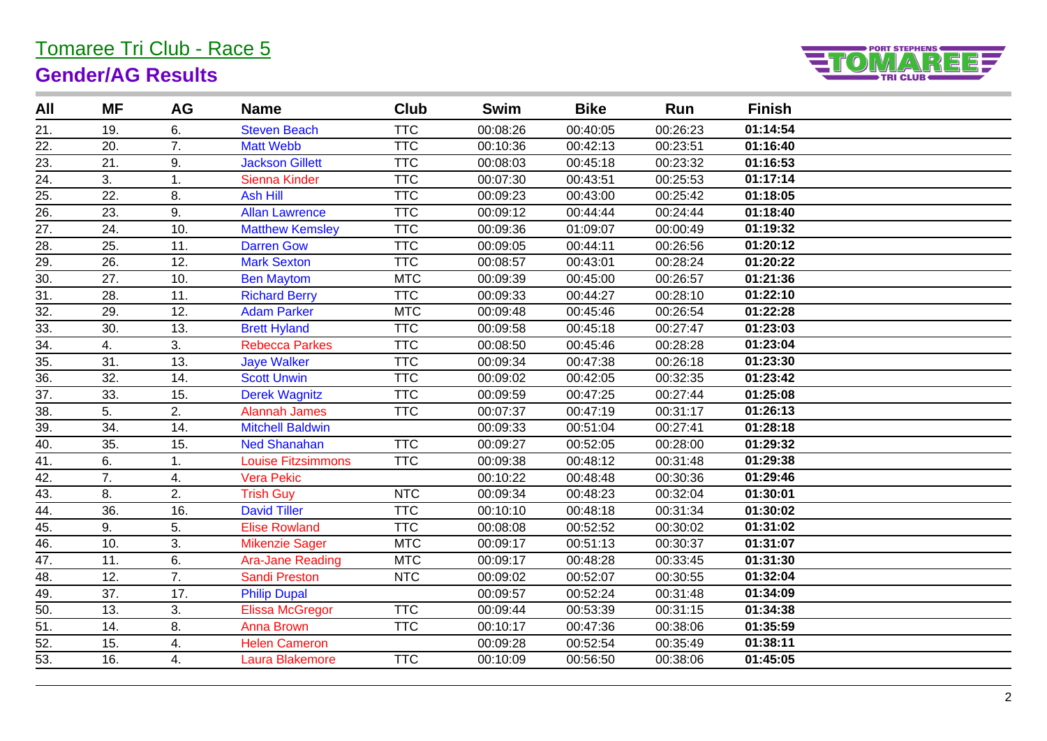## Tomaree Tri Club - Race 5 **Gender/AG Results**



| All               | ΜF               | AG              | <b>Name</b>             | Club       | <b>Swim</b> | <b>Bike</b> | Run      | <b>Finish</b> |  |
|-------------------|------------------|-----------------|-------------------------|------------|-------------|-------------|----------|---------------|--|
| 21.               | 19.              | 6.              | <b>Steven Beach</b>     | <b>TTC</b> | 00:08:26    | 00:40:05    | 00:26:23 | 01:14:54      |  |
| 22.               | 20.              | 7.              | <b>Matt Webb</b>        | <b>TTC</b> | 00:10:36    | 00:42:13    | 00:23:51 | 01:16:40      |  |
| 23.               | 21.              | 9.              | <b>Jackson Gillett</b>  | <b>TTC</b> | 00:08:03    | 00:45:18    | 00:23:32 | 01:16:53      |  |
| 24.               | 3.               | 1.              | Sienna Kinder           | <b>TTC</b> | 00:07:30    | 00:43:51    | 00:25:53 | 01:17:14      |  |
| $\overline{25}$ . | 22.              | 8.              | <b>Ash Hill</b>         | <b>TTC</b> | 00:09:23    | 00:43:00    | 00:25:42 | 01:18:05      |  |
| $\overline{26}$ . | 23.              | 9.              | <b>Allan Lawrence</b>   | <b>TTC</b> | 00:09:12    | 00:44:44    | 00:24:44 | 01:18:40      |  |
| 27.               | 24.              | 10.             | <b>Matthew Kemsley</b>  | <b>TTC</b> | 00:09:36    | 01:09:07    | 00:00:49 | 01:19:32      |  |
| $\overline{28}$ . | 25.              | 11.             | <b>Darren Gow</b>       | <b>TTC</b> | 00:09:05    | 00:44:11    | 00:26:56 | 01:20:12      |  |
| 29.               | 26.              | 12.             | <b>Mark Sexton</b>      | <b>TTC</b> | 00:08:57    | 00:43:01    | 00:28:24 | 01:20:22      |  |
| $\overline{30}$ . | 27.              | 10.             | <b>Ben Maytom</b>       | <b>MTC</b> | 00:09:39    | 00:45:00    | 00:26:57 | 01:21:36      |  |
| $\overline{31}$ . | 28.              | 11.             | <b>Richard Berry</b>    | <b>TTC</b> | 00:09:33    | 00:44:27    | 00:28:10 | 01:22:10      |  |
| $\overline{32}$ . | 29.              | 12.             | <b>Adam Parker</b>      | <b>MTC</b> | 00:09:48    | 00:45:46    | 00:26:54 | 01:22:28      |  |
| 33.               | 30.              | 13.             | <b>Brett Hyland</b>     | <b>TTC</b> | 00:09:58    | 00:45:18    | 00:27:47 | 01:23:03      |  |
| $\overline{34}$ . | 4.               | 3.              | <b>Rebecca Parkes</b>   | <b>TTC</b> | 00:08:50    | 00:45:46    | 00:28:28 | 01:23:04      |  |
| 35.               | 31.              | 13.             | <b>Jaye Walker</b>      | <b>TTC</b> | 00:09:34    | 00:47:38    | 00:26:18 | 01:23:30      |  |
| 36.               | 32.              | 14.             | <b>Scott Unwin</b>      | <b>TTC</b> | 00:09:02    | 00:42:05    | 00:32:35 | 01:23:42      |  |
| 37.               | 33.              | 15.             | <b>Derek Wagnitz</b>    | <b>TTC</b> | 00:09:59    | 00:47:25    | 00:27:44 | 01:25:08      |  |
| $\overline{38}$ . | 5.               | 2.              | Alannah James           | <b>TTC</b> | 00:07:37    | 00:47:19    | 00:31:17 | 01:26:13      |  |
| 39.               | 34.              | 14.             | <b>Mitchell Baldwin</b> |            | 00:09:33    | 00:51:04    | 00:27:41 | 01:28:18      |  |
| 40.               | 35.              | 15.             | <b>Ned Shanahan</b>     | <b>TTC</b> | 00:09:27    | 00:52:05    | 00:28:00 | 01:29:32      |  |
| 41.               | 6.               | 1.              | Louise Fitzsimmons      | <b>TTC</b> | 00:09:38    | 00:48:12    | 00:31:48 | 01:29:38      |  |
| $\overline{42}$ . | $\overline{7}$ . | 4.              | <b>Vera Pekic</b>       |            | 00:10:22    | 00:48:48    | 00:30:36 | 01:29:46      |  |
| 43.               | 8.               | 2.              | <b>Trish Guy</b>        | <b>NTC</b> | 00:09:34    | 00:48:23    | 00:32:04 | 01:30:01      |  |
| $\overline{44}$ . | 36.              | 16.             | <b>David Tiller</b>     | <b>TTC</b> | 00:10:10    | 00:48:18    | 00:31:34 | 01:30:02      |  |
| $\overline{45}$ . | 9.               | 5.              | <b>Elise Rowland</b>    | <b>TTC</b> | 00:08:08    | 00:52:52    | 00:30:02 | 01:31:02      |  |
| 46.               | 10.              | 3.              | <b>Mikenzie Sager</b>   | <b>MTC</b> | 00:09:17    | 00:51:13    | 00:30:37 | 01:31:07      |  |
| 47.               | 11.              | 6.              | <b>Ara-Jane Reading</b> | <b>MTC</b> | 00:09:17    | 00:48:28    | 00:33:45 | 01:31:30      |  |
| 48.               | 12.              | $\overline{7.}$ | <b>Sandi Preston</b>    | <b>NTC</b> | 00:09:02    | 00:52:07    | 00:30:55 | 01:32:04      |  |
| 49.               | 37.              | 17.             | <b>Philip Dupal</b>     |            | 00:09:57    | 00:52:24    | 00:31:48 | 01:34:09      |  |
| $\overline{50}$ . | 13.              | 3.              | <b>Elissa McGregor</b>  | <b>TTC</b> | 00:09:44    | 00:53:39    | 00:31:15 | 01:34:38      |  |
| 51.               | 14.              | 8.              | <b>Anna Brown</b>       | <b>TTC</b> | 00:10:17    | 00:47:36    | 00:38:06 | 01:35:59      |  |
| 52.               | 15.              | 4.              | <b>Helen Cameron</b>    |            | 00:09:28    | 00:52:54    | 00:35:49 | 01:38:11      |  |
| 53.               | 16.              | 4.              | Laura Blakemore         | <b>TTC</b> | 00:10:09    | 00:56:50    | 00:38:06 | 01:45:05      |  |